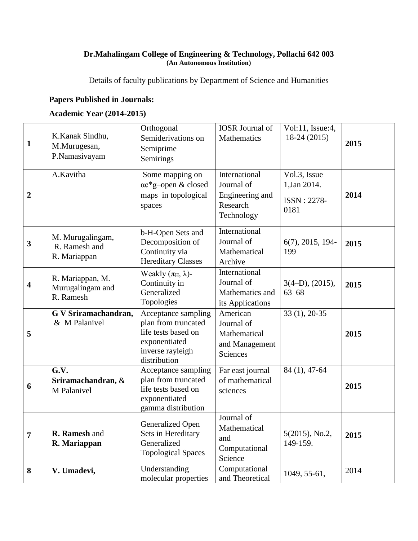## **Dr.Mahalingam College of Engineering & Technology, Pollachi 642 003 (An Autonomous Institution)**

Details of faculty publications by Department of Science and Humanities

## **Papers Published in Journals:**

## **Academic Year (2014-2015)**

| $\mathbf{1}$            | K.Kanak Sindhu,<br>M.Murugesan,<br>P.Namasivayam  | Orthogonal<br>Semiderivations on<br>Semiprime<br>Semirings                                                             | <b>IOSR</b> Journal of<br>Mathematics                                    | Vol:11, Issue:4,<br>18-24 (2015)                           | 2015 |
|-------------------------|---------------------------------------------------|------------------------------------------------------------------------------------------------------------------------|--------------------------------------------------------------------------|------------------------------------------------------------|------|
| $\boldsymbol{2}$        | A.Kavitha                                         | Some mapping on<br>ac*g-open & closed<br>maps in topological<br>spaces                                                 | International<br>Journal of<br>Engineering and<br>Research<br>Technology | Vol.3, Issue<br>1, Jan 2014.<br><b>ISSN: 2278-</b><br>0181 | 2014 |
| $\overline{\mathbf{3}}$ | M. Murugalingam,<br>R. Ramesh and<br>R. Mariappan | b-H-Open Sets and<br>Decomposition of<br>Continuity via<br><b>Hereditary Classes</b>                                   | International<br>Journal of<br>Mathematical<br>Archive                   | $6(7)$ , 2015, 194-<br>199                                 | 2015 |
| $\overline{\mathbf{4}}$ | R. Mariappan, M.<br>Murugalingam and<br>R. Ramesh | Weakly $(\pi_H, \lambda)$ -<br>Continuity in<br>Generalized<br>Topologies                                              | International<br>Journal of<br>Mathematics and<br>its Applications       | $3(4-D)$ , $(2015)$ ,<br>$63 - 68$                         | 2015 |
| 5                       | G V Sriramachandran,<br>& M Palanivel             | Acceptance sampling<br>plan from truncated<br>life tests based on<br>exponentiated<br>inverse rayleigh<br>distribution | American<br>Journal of<br>Mathematical<br>and Management<br>Sciences     | $33(1), 20-35$                                             | 2015 |
| 6                       | G.V.<br>Sriramachandran, &<br>M Palanivel         | Acceptance sampling<br>plan from truncated<br>life tests based on<br>exponentiated<br>gamma distribution               | Far east journal<br>of mathematical<br>sciences                          | 84 (1), 47-64                                              | 2015 |
| 7                       | R. Ramesh and<br>R. Mariappan                     | Generalized Open<br>Sets in Hereditary<br>Generalized<br><b>Topological Spaces</b>                                     | Journal of<br>Mathematical<br>and<br>Computational<br>Science            | $5(2015)$ , No.2,<br>149-159.                              | 2015 |
| 8                       | V. Umadevi,                                       | Understanding<br>molecular properties                                                                                  | Computational<br>and Theoretical                                         | 1049, 55-61,                                               | 2014 |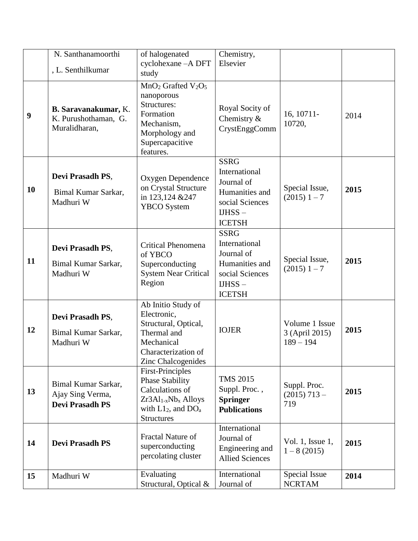|                  | N. Santhanamoorthi<br>, L. Senthilkumar                           | of halogenated<br>cyclohexane - A DFT<br>study                                                                                                     | Chemistry,<br>Elsevier                                                                                        |                                                 |      |
|------------------|-------------------------------------------------------------------|----------------------------------------------------------------------------------------------------------------------------------------------------|---------------------------------------------------------------------------------------------------------------|-------------------------------------------------|------|
| $\boldsymbol{9}$ | B. Saravanakumar, K.<br>K. Purushothaman, G.<br>Muralidharan,     | $MnO2$ Grafted $V2O5$<br>nanoporous<br>Structures:<br>Formation<br>Mechanism,<br>Morphology and<br>Supercapacitive<br>features.                    | Royal Socity of<br>Chemistry $\&$<br>CrystEnggComm                                                            | 16, 10711-<br>10720,                            | 2014 |
| 10               | Devi Prasadh PS,<br>Bimal Kumar Sarkar,<br>Madhuri W              | Oxygen Dependence<br>on Crystal Structure<br>in 123,124 & 247<br><b>YBCO</b> System                                                                | <b>SSRG</b><br>International<br>Journal of<br>Humanities and<br>social Sciences<br>$IJHSS -$<br><b>ICETSH</b> | Special Issue,<br>$(2015)$ 1 – 7                | 2015 |
| 11               | Devi Prasadh PS,<br>Bimal Kumar Sarkar,<br>Madhuri W              | <b>Critical Phenomena</b><br>of YBCO<br>Superconducting<br><b>System Near Critical</b><br>Region                                                   | <b>SSRG</b><br>International<br>Journal of<br>Humanities and<br>social Sciences<br>$IJHSS -$<br><b>ICETSH</b> | Special Issue,<br>$(2015)$ 1 – 7                | 2015 |
| 12               | Devi Prasadh PS,<br>Bimal Kumar Sarkar,<br>Madhuri W              | Ab Initio Study of<br>Electronic,<br>Structural, Optical,<br>Thermal and<br>Mechanical<br>Characterization of<br>Zinc Chalcogenides                | <b>IOJER</b>                                                                                                  | Volume 1 Issue<br>3 (April 2015)<br>$189 - 194$ | 2015 |
| 13               | Bimal Kumar Sarkar,<br>Ajay Sing Verma,<br><b>Devi Prasadh PS</b> | <b>First-Principles</b><br><b>Phase Stability</b><br>Calculations of<br>$Zr3Al_{1-x}Nb_{x}$ Alloys<br>with $L1_2$ , and $DOa$<br><b>Structures</b> | <b>TMS 2015</b><br>Suppl. Proc.,<br><b>Springer</b><br><b>Publications</b>                                    | Suppl. Proc.<br>$(2015)$ 713 -<br>719           | 2015 |
| 14               | <b>Devi Prasadh PS</b>                                            | <b>Fractal Nature of</b><br>superconducting<br>percolating cluster                                                                                 | International<br>Journal of<br>Engineering and<br><b>Allied Sciences</b>                                      | Vol. 1, Issue $1$ ,<br>$1 - 8(2015)$            | 2015 |
| 15               | Madhuri W                                                         | Evaluating<br>Structural, Optical &                                                                                                                | International<br>Journal of                                                                                   | Special Issue<br><b>NCRTAM</b>                  | 2014 |